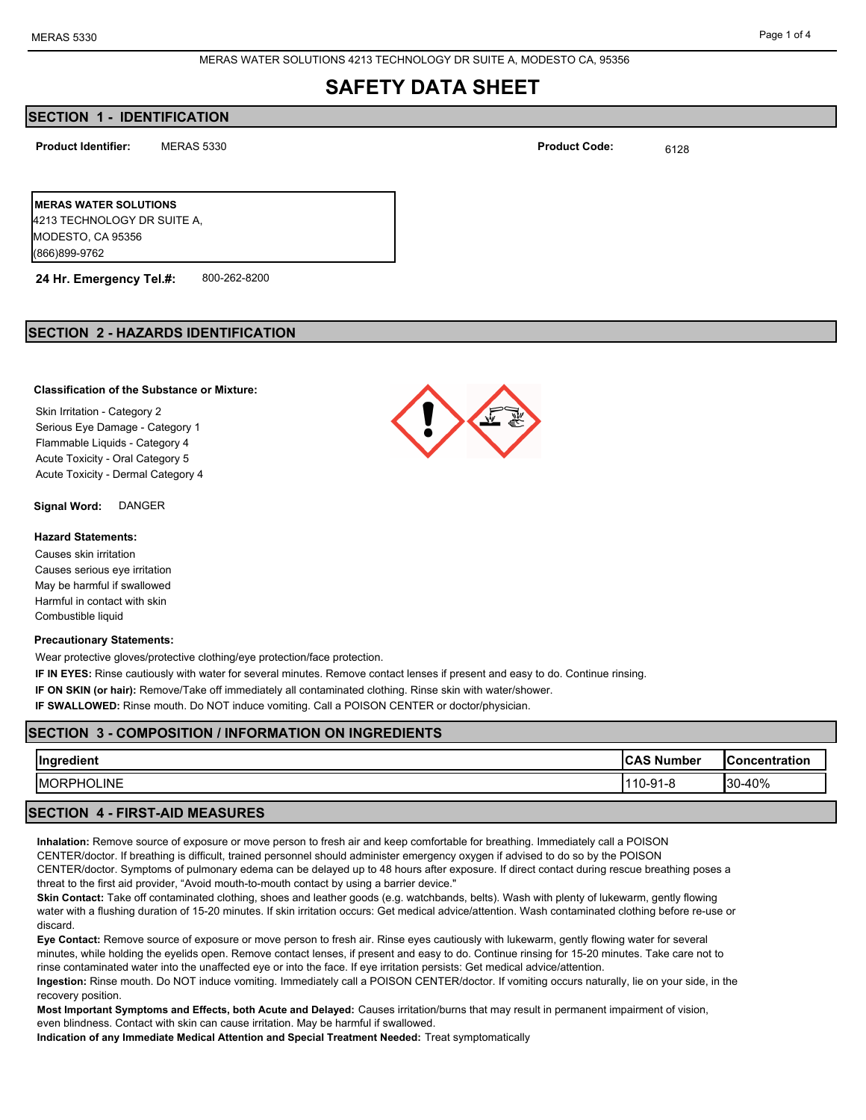MERAS WATER SOLUTIONS 4213 TECHNOLOGY DR SUITE A, MODESTO CA, 95356

# **SAFETY DATA SHEET**

## **SECTION 1 - IDENTIFICATION**

**Product Identifier: Product Code:**

MERAS 5330  $6128$ 

**MERAS WATER SOLUTIONS**  4213 TECHNOLOGY DR SUITE A, MODESTO, CA 95356 (866)899-9762

**24 Hr. Emergency Tel.#:** 800-262-8200

## **SECTION 2 - HAZARDS IDENTIFICATION**

### **Classification of the Substance or Mixture:**

Skin Irritation - Category 2 Serious Eye Damage - Category 1 Flammable Liquids - Category 4 Acute Toxicity - Oral Category 5 Acute Toxicity - Dermal Category 4

**Signal Word:** DANGER

### **Hazard Statements:**

Causes skin irritation Causes serious eye irritation May be harmful if swallowed Harmful in contact with skin Combustible liquid

#### **Precautionary Statements:**

Wear protective gloves/protective clothing/eye protection/face protection.

**IF IN EYES:** Rinse cautiously with water for several minutes. Remove contact lenses if present and easy to do. Continue rinsing.

**IF ON SKIN (or hair):** Remove/Take off immediately all contaminated clothing. Rinse skin with water/shower.

**IF SWALLOWED:** Rinse mouth. Do NOT induce vomiting. Call a POISON CENTER or doctor/physician.

### **SECTION 3 - COMPOSITION / INFORMATION ON INGREDIENTS**

| $\sim$<br><b>Ingr</b><br>.<br>ווסו | Number                              | ∶oncentration<br>ີ |
|------------------------------------|-------------------------------------|--------------------|
| LINE<br><b>IMO</b><br>1RPH(        | $\sim$<br>~-ا ،<br>1-0<br>שו<br>. . | $-40%$<br>l30      |
|                                    |                                     |                    |

## **SECTION 4 - FIRST-AID MEASURES**

**Inhalation:** Remove source of exposure or move person to fresh air and keep comfortable for breathing. Immediately call a POISON CENTER/doctor. If breathing is difficult, trained personnel should administer emergency oxygen if advised to do so by the POISON CENTER/doctor. Symptoms of pulmonary edema can be delayed up to 48 hours after exposure. If direct contact during rescue breathing poses a

threat to the first aid provider, "Avoid mouth-to-mouth contact by using a barrier device." **Skin Contact:** Take off contaminated clothing, shoes and leather goods (e.g. watchbands, belts). Wash with plenty of lukewarm, gently flowing

water with a flushing duration of 15-20 minutes. If skin irritation occurs: Get medical advice/attention. Wash contaminated clothing before re-use or discard.

**Eye Contact:** Remove source of exposure or move person to fresh air. Rinse eyes cautiously with lukewarm, gently flowing water for several minutes, while holding the eyelids open. Remove contact lenses, if present and easy to do. Continue rinsing for 15-20 minutes. Take care not to rinse contaminated water into the unaffected eye or into the face. If eye irritation persists: Get medical advice/attention.

**Ingestion:** Rinse mouth. Do NOT induce vomiting. Immediately call a POISON CENTER/doctor. If vomiting occurs naturally, lie on your side, in the recovery position.

**Most Important Symptoms and Effects, both Acute and Delayed:** Causes irritation/burns that may result in permanent impairment of vision, even blindness. Contact with skin can cause irritation. May be harmful if swallowed.

**Indication of any Immediate Medical Attention and Special Treatment Needed:** Treat symptomatically

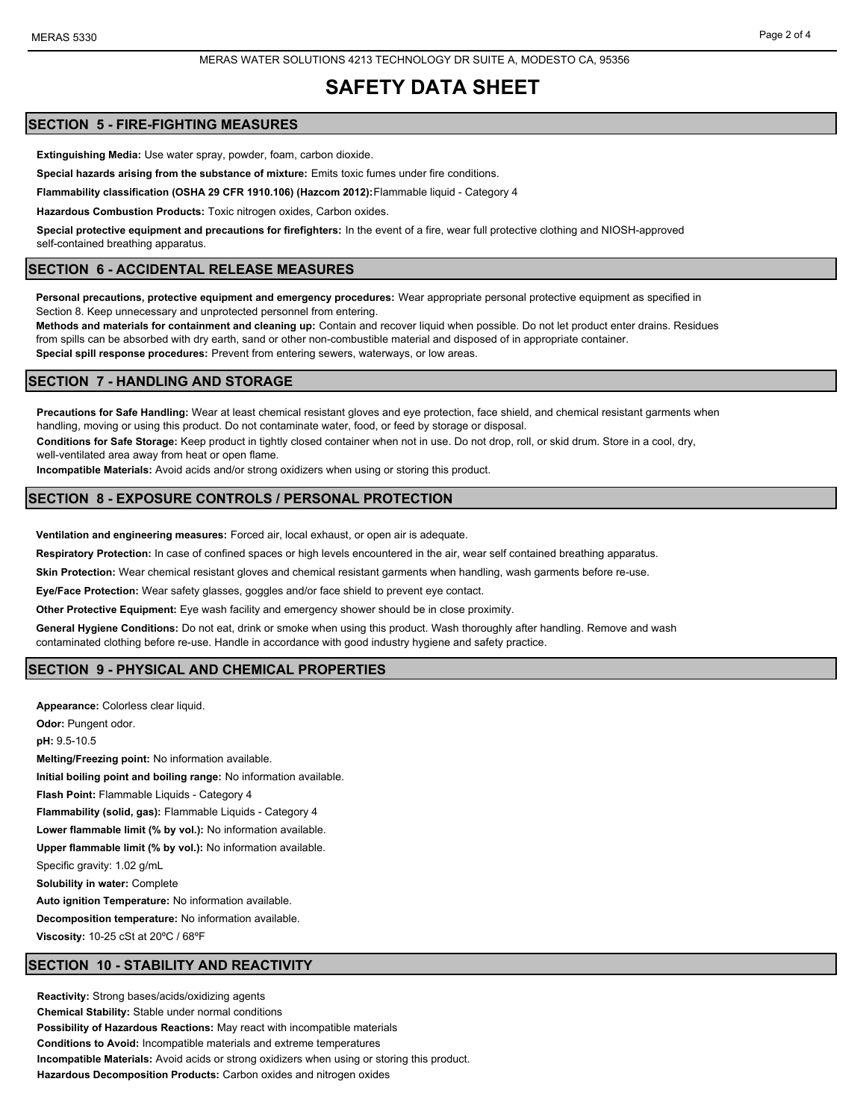# **SAFETY DATA SHEET**

## **SECTION 5 - FIRE-FIGHTING MEASURES**

**Extinguishing Media:** Use water spray, powder, foam, carbon dioxide.

**Special hazards arising from the substance of mixture:** Emits toxic fumes under fire conditions.

**Flammability classification (OSHA 29 CFR 1910.106) (Hazcom 2012):**Flammable liquid - Category 4

**Hazardous Combustion Products:** Toxic nitrogen oxides, Carbon oxides.

**Special protective equipment and precautions for firefighters:** In the event of a fire, wear full protective clothing and NIOSH-approved self-contained breathing apparatus.

### **SECTION 6 - ACCIDENTAL RELEASE MEASURES**

**Personal precautions, protective equipment and emergency procedures:** Wear appropriate personal protective equipment as specified in Section 8. Keep unnecessary and unprotected personnel from entering.

**Methods and materials for containment and cleaning up:** Contain and recover liquid when possible. Do not let product enter drains. Residues from spills can be absorbed with dry earth, sand or other non-combustible material and disposed of in appropriate container. **Special spill response procedures:** Prevent from entering sewers, waterways, or low areas.

#### **SECTION 7 - HANDLING AND STORAGE**

**Precautions for Safe Handling:** Wear at least chemical resistant gloves and eye protection, face shield, and chemical resistant garments when handling, moving or using this product. Do not contaminate water, food, or feed by storage or disposal.

**Conditions for Safe Storage:** Keep product in tightly closed container when not in use. Do not drop, roll, or skid drum. Store in a cool, dry, well-ventilated area away from heat or open flame.

**Incompatible Materials:** Avoid acids and/or strong oxidizers when using or storing this product.

### **SECTION 8 - EXPOSURE CONTROLS / PERSONAL PROTECTION**

**Ventilation and engineering measures:** Forced air, local exhaust, or open air is adequate.

**Respiratory Protection:** In case of confined spaces or high levels encountered in the air, wear self contained breathing apparatus.

**Skin Protection:** Wear chemical resistant gloves and chemical resistant garments when handling, wash garments before re-use.

**Eye/Face Protection:** Wear safety glasses, goggles and/or face shield to prevent eye contact.

**Other Protective Equipment:** Eye wash facility and emergency shower should be in close proximity.

**General Hygiene Conditions:** Do not eat, drink or smoke when using this product. Wash thoroughly after handling. Remove and wash contaminated clothing before re-use. Handle in accordance with good industry hygiene and safety practice.

## **SECTION 9 - PHYSICAL AND CHEMICAL PROPERTIES**

**Appearance:** Colorless clear liquid. Odor: Pungent odor. **pH:** 9.5-10.5 **Melting/Freezing point:** No information available. **Initial boiling point and boiling range:** No information available. **Flash Point:** Flammable Liquids - Category 4 **Flammability (solid, gas):** Flammable Liquids - Category 4 **Lower flammable limit (% by vol.):** No information available. **Upper flammable limit (% by vol.):** No information available. Specific gravity: 1.02 g/mL **Solubility in water:** Complete **Auto ignition Temperature:** No information available. **Decomposition temperature:** No information available. **Viscosity:** 10-25 cSt at 20ºC / 68ºF

## **SECTION 10 - STABILITY AND REACTIVITY**

**Reactivity:** Strong bases/acids/oxidizing agents **Chemical Stability:** Stable under normal conditions **Possibility of Hazardous Reactions:** May react with incompatible materials **Conditions to Avoid:** Incompatible materials and extreme temperatures **Incompatible Materials:** Avoid acids or strong oxidizers when using or storing this product. **Hazardous Decomposition Products:** Carbon oxides and nitrogen oxides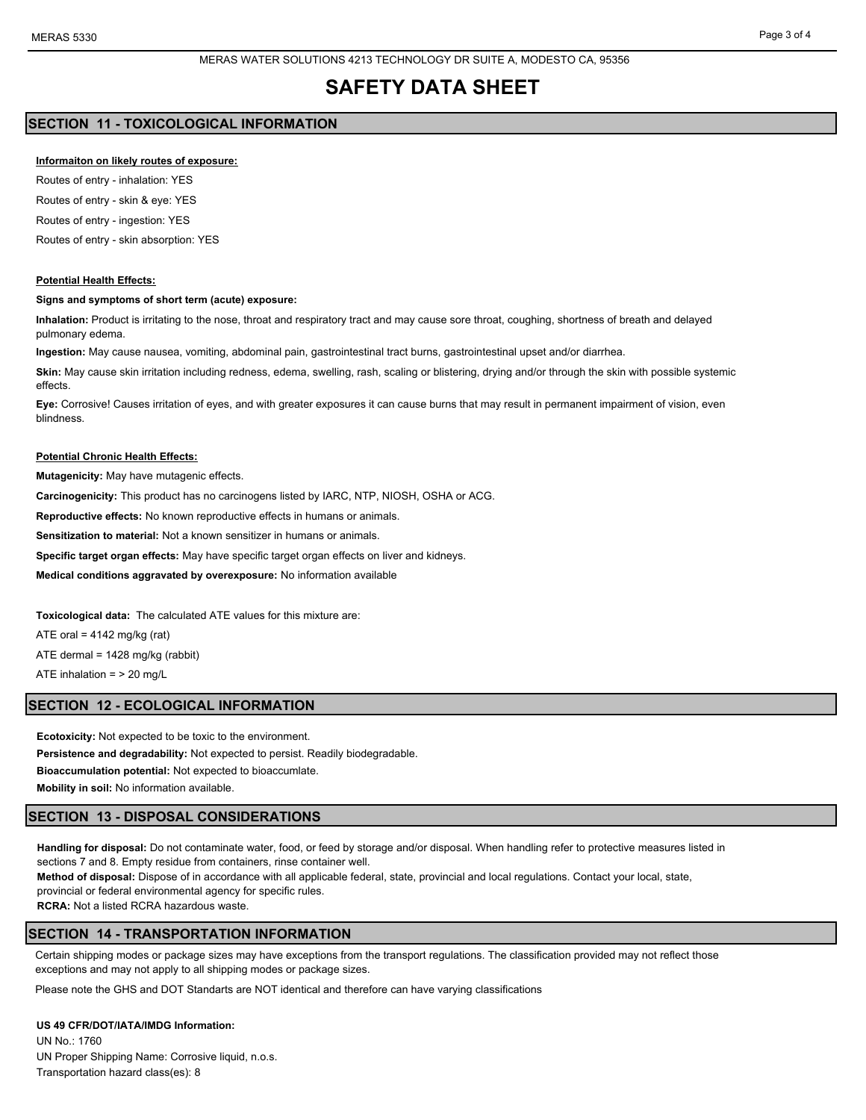# **SAFETY DATA SHEET**

## **SECTION 11 - TOXICOLOGICAL INFORMATION**

### **Informaiton on likely routes of exposure:**

Routes of entry - inhalation: YES Routes of entry - skin & eye: YES Routes of entry - ingestion: YES

Routes of entry - skin absorption: YES

### **Potential Health Effects:**

#### **Signs and symptoms of short term (acute) exposure:**

**Inhalation:** Product is irritating to the nose, throat and respiratory tract and may cause sore throat, coughing, shortness of breath and delayed pulmonary edema.

**Ingestion:** May cause nausea, vomiting, abdominal pain, gastrointestinal tract burns, gastrointestinal upset and/or diarrhea.

**Skin:** May cause skin irritation including redness, edema, swelling, rash, scaling or blistering, drying and/or through the skin with possible systemic effects.

**Eye:** Corrosive! Causes irritation of eyes, and with greater exposures it can cause burns that may result in permanent impairment of vision, even blindness.

#### **Potential Chronic Health Effects:**

**Mutagenicity:** May have mutagenic effects.

**Carcinogenicity:** This product has no carcinogens listed by IARC, NTP, NIOSH, OSHA or ACG.

**Reproductive effects:** No known reproductive effects in humans or animals.

**Sensitization to material:** Not a known sensitizer in humans or animals.

**Specific target organ effects:** May have specific target organ effects on liver and kidneys.

**Medical conditions aggravated by overexposure:** No information available

**Toxicological data:** The calculated ATE values for this mixture are:

ATE oral =  $4142$  mg/kg (rat)

ATE dermal = 1428 mg/kg (rabbit)

ATE inhalation = > 20 mg/L

### **SECTION 12 - ECOLOGICAL INFORMATION**

**Ecotoxicity:** Not expected to be toxic to the environment. **Persistence and degradability:** Not expected to persist. Readily biodegradable. **Bioaccumulation potential:** Not expected to bioaccumlate. **Mobility in soil:** No information available.

## **SECTION 13 - DISPOSAL CONSIDERATIONS**

**Handling for disposal:** Do not contaminate water, food, or feed by storage and/or disposal. When handling refer to protective measures listed in sections 7 and 8. Empty residue from containers, rinse container well.

**Method of disposal:** Dispose of in accordance with all applicable federal, state, provincial and local regulations. Contact your local, state,

provincial or federal environmental agency for specific rules.

**RCRA:** Not a listed RCRA hazardous waste.

### **SECTION 14 - TRANSPORTATION INFORMATION**

Certain shipping modes or package sizes may have exceptions from the transport regulations. The classification provided may not reflect those exceptions and may not apply to all shipping modes or package sizes.

Please note the GHS and DOT Standarts are NOT identical and therefore can have varying classifications

**US 49 CFR/DOT/IATA/IMDG Information:** UN No.: 1760 UN Proper Shipping Name: Corrosive liquid, n.o.s. Transportation hazard class(es): 8